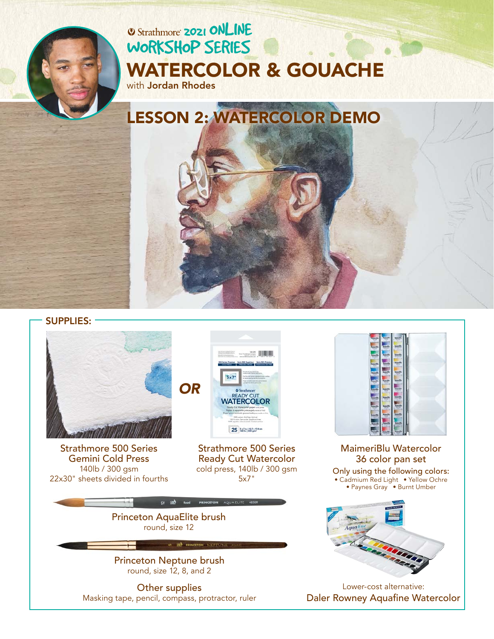# **2021 ONLINE** [WORKSHOP SERIES](https://www.strathmoreartiststudio.com/) [WATERCOLOR & GOUACHE](https://www.strathmoreartiststudio.com/2021-workshop-1-videos/)

with Jordan Rhodes

LESSON 2: WATERCOLOR DEMO

SUPPLIES:



[Strathmore 500 Series](https://www.strathmoreartist.com/paint-watercolor/id-500-series-gemini-watercolor.html)  Gemini Cold Press 140lb / 300 gsm 22x30" sheets divided in fourths



[Strathmore 500 Series](https://www.strathmoreartist.com/paint-watercolor/id-500-series-ready-cut-watercolor.html)  Ready Cut Watercolor cold press, 140lb / 300 gsm 5x7"



[Princeton Neptune brush](https://www.princetonbrush.com/neptune-series-4750-princeton-brush-company-brush-4750/)  round, size 12, 8, and 2

Other supplies Masking tape, pencil, compass, protractor, ruler



[MaimeriBlu Watercolor](https://www.maimeri.it/en/products/watercolour/maimeri-blu.html) 36 color pan set Only using the following colors: • Cadmium Red Light • Yellow Ochre • Paynes Gray • Burnt Umber



Lower-cost alternative: [Daler Rowney Aquafine Watercolor](https://www.daler-rowney.com/aquafine-watercolour-art-supplies/)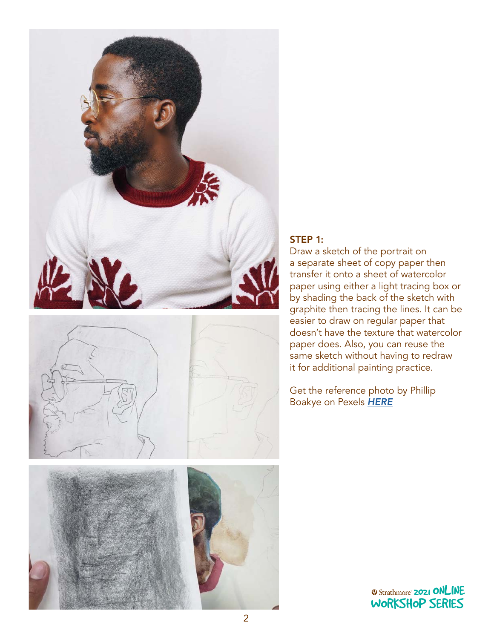







#### STEP 1:

Draw a sketch of the portrait on a separate sheet of copy paper then transfer it onto a sheet of watercolor paper using either a light tracing box or by shading the back of the sketch with graphite then tracing the lines. It can be easier to draw on regular paper that doesn't have the texture that watercolor paper does. Also, you can reuse the same sketch without having to redraw it for additional painting practice.

Get the reference photo by Phillip Boakye on Pexels *[HERE](https://www.pexels.com/photo/photo-of-man-wearing-eyeglasses-910143/)*

> **2021 ONLINE** [WORKSHOP SERIES](https://www.strathmoreartiststudio.com/)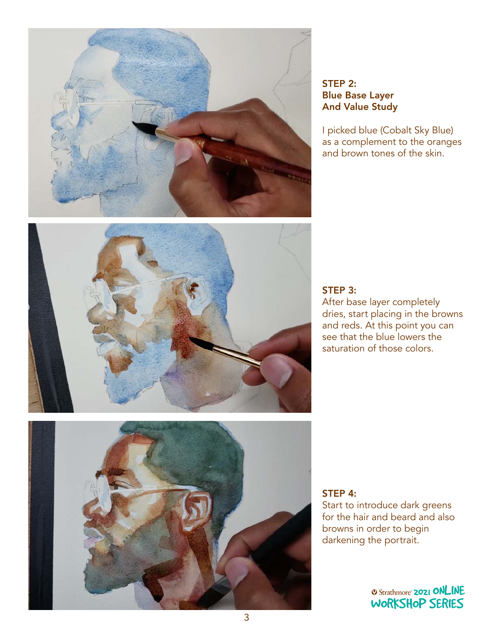

## STEP 2: Blue Base Layer And Value Study

I picked blue (Cobalt Sky Blue) as a complement to the oranges and brown tones of the skin.





#### STEP 3:

After base layer completely dries, start placing in the browns and reds. At this point you can see that the blue lowers the saturation of those colors.

### STEP 4:

Start to introduce dark greens for the hair and beard and also browns in order to begin<br>darkening the portrait. darkening the portrait. WORKSHOP SERIES

> **2021 ONLINE** [WORKSHOP SERIES](https://www.strathmoreartiststudio.com/)